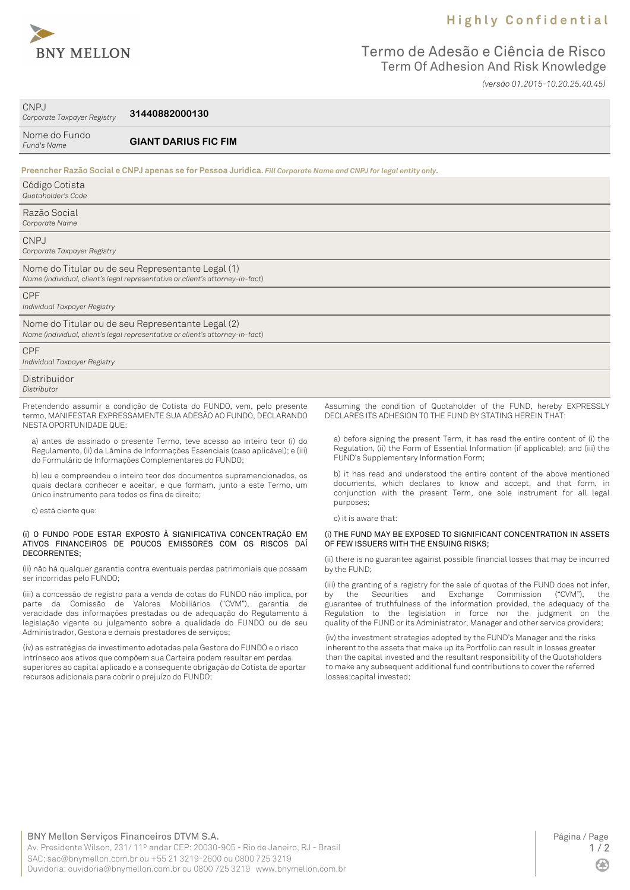

# **H i g h l y C o n f i d e n t i a l**

# Termo de Adesão e Ciência de Risco Term Of Adhesion And Risk Knowledge *(versão 01.2015-10.20.25.40.45)*

CNPJ *Corporate Taxpayer Registry*

**31440882000130**

| Nome do Fundo<br>Fund's Name               | <b>GIANT DARIUS FIC FIM</b>                                                                                                        |
|--------------------------------------------|------------------------------------------------------------------------------------------------------------------------------------|
|                                            | Preencher Razão Social e CNPJ apenas se for Pessoa Jurídica. Fill Corporate Name and CNPJ for legal entity only.                   |
| Código Cotista<br>Quotaholder's Code       |                                                                                                                                    |
| Razão Social<br>Corporate Name             |                                                                                                                                    |
| CNPJ<br>Corporate Taxpayer Registry        |                                                                                                                                    |
|                                            | Nome do Titular ou de seu Representante Legal (1)<br>Name (individual, client's legal representative or client's attorney-in-fact) |
| <b>CPF</b><br>Individual Taxpayer Registry |                                                                                                                                    |
|                                            | Nome do Titular ou de seu Representante Legal (2)<br>Name (individual, client's legal representative or client's attorney-in-fact) |
| <b>CPF</b><br>Individual Taxpayer Registry |                                                                                                                                    |
| Distribuidor<br>Distributor                |                                                                                                                                    |

Pretendendo assumir a condição de Cotista do FUNDO, vem, pelo presente termo, MANIFESTAR EXPRESSAMENTE SUA ADESÃO AO FUNDO, DECLARANDO NESTA OPORTUNIDADE QUE:

a) antes de assinado o presente Termo, teve acesso ao inteiro teor (i) do Regulamento, (ii) da Lâmina de Informações Essenciais (caso aplicável); e (iii) do Formulário de Informações Complementares do FUNDO;

b) leu e compreendeu o inteiro teor dos documentos supramencionados, os quais declara conhecer e aceitar, e que formam, junto a este Termo, um único instrumento para todos os fins de direito;

c) está ciente que:

#### (i) O FUNDO PODE ESTAR EXPOSTO À SIGNIFICATIVA CONCENTRAÇÃO EM ATIVOS FINANCEIROS DE POUCOS EMISSORES COM OS RISCOS DAÍ DECORRENTES;

(ii) não há qualquer garantia contra eventuais perdas patrimoniais que possam ser incorridas pelo FUNDO;

(iii) a concessão de registro para a venda de cotas do FUNDO não implica, por parte da Comissão de Valores Mobiliários ("CVM"), garantia de veracidade das informações prestadas ou de adequação do Regulamento à legislação vigente ou julgamento sobre a qualidade do FUNDO ou de seu Administrador, Gestora e demais prestadores de serviços;

(iv) as estratégias de investimento adotadas pela Gestora do FUNDO e o risco intrínseco aos ativos que compõem sua Carteira podem resultar em perdas superiores ao capital aplicado e a consequente obrigação do Cotista de aportar recursos adicionais para cobrir o prejuízo do FUNDO;

Assuming the condition of Quotaholder of the FUND, hereby EXPRESSLY DECLARES ITS ADHESION TO THE FUND BY STATING HEREIN THAT:

a) before signing the present Term, it has read the entire content of (i) the Regulation, (ii) the Form of Essential Information (if applicable); and (iii) the FUND's Supplementary Information Form;

b) it has read and understood the entire content of the above mentioned documents, which declares to know and accept, and that form, in conjunction with the present Term, one sole instrument for all legal purposes;

c) it is aware that:

#### (i) THE FUND MAY BE EXPOSED TO SIGNIFICANT CONCENTRATION IN ASSETS OF FEW ISSUERS WITH THE ENSUING RISKS;

(ii) there is no guarantee against possible financial losses that may be incurred by the FUND;

(iii) the granting of a registry for the sale of quotas of the FUND does not infer,<br>by the Securities and Exchange Commission ("CVM"), the by the Securities and Exchange Commission ("CVM"), guarantee of truthfulness of the information provided, the adequacy of the Regulation to the legislation in force nor the judgment on the quality of the FUND or its Administrator, Manager and other service providers;

(iv) the investment strategies adopted by the FUND's Manager and the risks inherent to the assets that make up its Portfolio can result in losses greater than the capital invested and the resultant responsibility of the Quotaholders to make any subsequent additional fund contributions to cover the referred losses;capital invested;